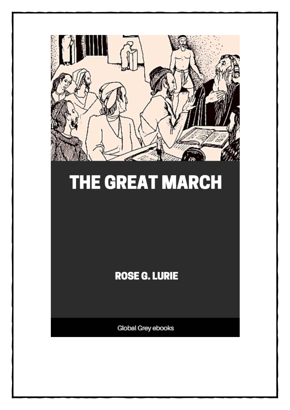

# **THE GREAT MARCH**

### **ROSE G. LURIE**

**Global Grey ebooks**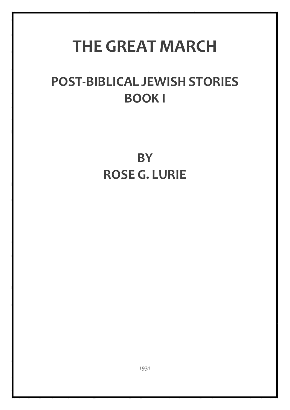## **THE GREAT MARCH**

### **POST-BIBLICAL JEWISH STORIES BOOK I**

**BY ROSE G. LURIE**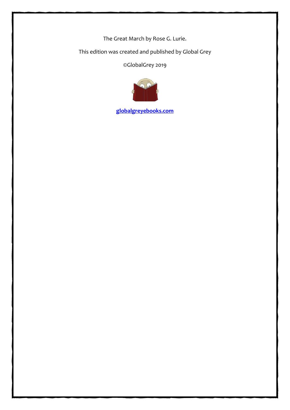The Great March by Rose G. Lurie.

This edition was created and published by Global Grey

©GlobalGrey 2019



**[globalgreyebooks.com](https://www.globalgreyebooks.com/index.html)**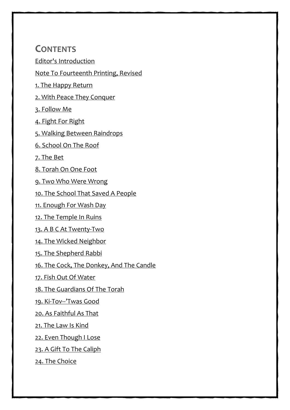#### **CONTENTS**

[Editor's Introduction](#page-5-0)

[Note To Fourteenth Printing, Revised](#page-7-0)

[1. The Happy Return](#page-8-0)

[2. With Peace They Conquer](#page-12-0)

[3. Follow Me](#page-17-0)

[4. Fight For Right](#page-19-0)

[5. Walking Between Raindrops](#page-23-0)

[6. School On The Roof](#page-26-0)

[7. The Bet](#page-28-0)

[8. Torah On One Foot](#page-30-0)

[9. Two Who Were Wrong](#page-32-0)

[10. The School That Saved A People](#page-35-0)

[11. Enough For Wash Day](#page-41-0)

[12. The Temple In Ruins](#page-42-0)

[13. A B C At Twenty-Two](#page-44-0)

[14. The Wicked Neighbor](#page-48-0)

[15. The Shepherd Rabbi](#page-50-0)

[16. The Cock, The Donkey, And The Candle](#page-55-0)

[17. Fish Out Of Water](#page-59-0)

[18. The Guardians Of The Torah](#page-61-0)

[19. Ki-Tov--'Twas Good](#page-64-0)

[20. As Faithful As That](#page-66-0)

[21. The Law Is Kind](#page-69-0)

[22. Even Though I Lose](#page-73-0)

[23. A Gift To The Caliph](#page-75-0)

[24. The Choice](#page-78-0)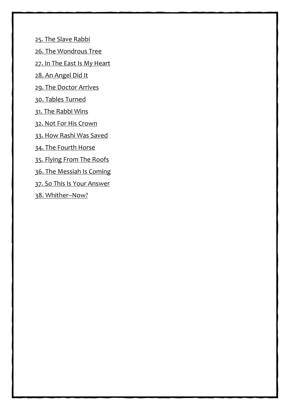[25. The Slave Rabbi](#page-82-0)

[26. The Wondrous Tree](#page-86-0)

[27. In The East Is My Heart](#page-91-0)

[28. An Angel Did It](#page-95-0)

[29. The Doctor Arrives](#page-100-0)

[30. Tables Turned](#page-104-0)

[31. The Rabbi Wins](#page-109-0)

[32. Not For His Crown](#page-113-0)

[33. How Rashi Was Saved](#page-116-0)

[34. The Fourth Horse](#page-119-0)

[35. Flying From The Roofs](#page-122-0)

[36. The Messiah Is Coming](#page-125-0)

[37. So This Is Your Answer](#page-127-0)

[38. Whither--Now?](#page-130-0)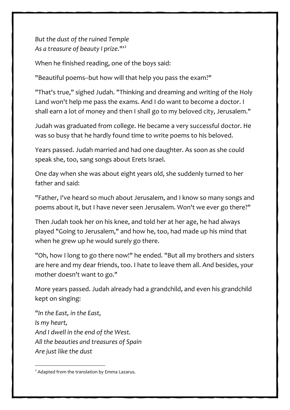*But the dust of the ruined Temple As a treasure of beauty I prize*."'[2](#page-93-0)

When he finished reading, one of the boys said:

"Beautiful poems--but how will that help you pass the exam?"

"That's true," sighed Judah. "Thinking and dreaming and writing of the Holy Land won't help me pass the exams. And I do want to become a doctor. I shall earn a lot of money and then I shall go to my beloved city, Jerusalem."

Judah was graduated from college. He became a very successful doctor. He was so busy that he hardly found time to write poems to his beloved.

Years passed. Judah married and had one daughter. As soon as she could speak she, too, sang songs about Erets Israel.

One day when she was about eight years old, she suddenly turned to her father and said:

"Father, I've heard so much about Jerusalem, and I know so many songs and poems about it, but I have never seen Jerusalem. Won't we ever go there?"

Then Judah took her on his knee, and told her at her age, he had always played "Going to Jerusalem," and how he, too, had made up his mind that when he grew up he would surely go there.

"Oh, how I long to go there now!" he ended. "But all my brothers and sisters are here and my dear friends, too. I hate to leave them all. And besides, your mother doesn't want to go."

More years passed. Judah already had a grandchild, and even his grandchild kept on singing:

"*In the East, in the East, Is my heart, And I dwell in the end of the West. All the beauties and treasures of Spain Are just like the dust*

<span id="page-93-0"></span><sup>2</sup> Adapted from the translation by Emma Lazarus.

89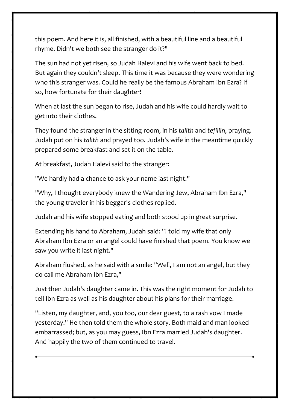But the dust of the ruined Temple As a treasure of beauty I prize.'

When he finished reading, one of the boys said

Beautiful poems --but how will that help you pass the exam?

That's true, sighed Judah. Thinking and dreaming and writing of the Holy Land won't help me pass the exams. And I do want to become a doctor. I shall earn a lot of money and then I shall go to my beloved city, Jerusalem.

Judah was graduated from college. He became a very successful doctor. He was so busy that he hardly found time to write poems to his beloved.

Years passed. Judah married and had one daughter. As soon as she could speak she, too, sang songs about Erets Israel.

One day when she was about eight years old, she suddenly turned to her father and said

Father, I've heard so much about Jerusalem, and I know so many songs and poems about it, but I have never seen Jerusalem. Won't we ever go there?

Then Judah took her on his knee, and told her at her age, he had always played Going to Jerusalem, and how he, too, had made up his mind that when he grew up he would surely go there.

Oh, how I long to go there now! he ended. But all my brothers and sisters are here and my dear friends, too. I hate to leave them all. And be sides, your mother doesn't want to go.

More years passed. Judah already had a grandchild, and even his grandchild kept on singing

In the East, in the East, Is my heart, And I dwell in the end of the West. All the beauties and treasures of Spain Are just like the dust

Adapted from the translation by Emma Lazarus.